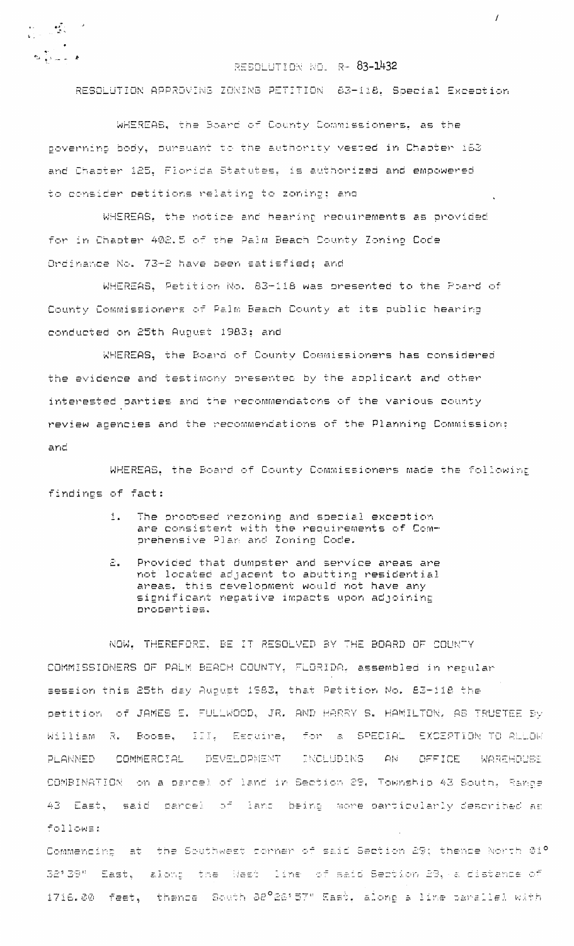$\begin{array}{lll} \bullet & \circ & \bullet & \circ \\ \bullet & \circ & \circ & \circ \\ \bullet & \circ & \circ & \circ \end{array} \hspace{.25cm} \begin{array}{lll} \bullet & \circ & \circ \\ \bullet & \circ & \circ \\ \bullet & \circ & \circ \end{array}$  $\label{eq:3.1} \tau_{\rm M} \sum_{i=1}^T c_{\rm max} \frac{1}{\tau_i} = \pmb{\delta}$ 

## RESOLUTION NO. R- 83-1432

 $\prime$ 

RESOLUTION APPROVING ZONING PETITION 63-118, Special Exception

WHEREAS, the Board of County Commissioners, as the governing body, pursuant to the authority vested in Chapter 163 and Chapter 125. Florida Statutes. is authorized and empowered to consider petitions relating to zoning: and

WHEREAS, the notice and hearing requirements as provided for in Chaoter 402.5 of the Palm Beach County Zoning Code Ordinance No. 73-2 have been satisfied; and

WHEREAS, Petition No. 83-118 was presented to the Board of County Commissioners of Palm Beach County at its public hearing conducted on 25th August 1983; and

WHEREAS, the Board of County Commissioners has considered the evidence and testimony presented by the applicant and other interested parties and the recommendatons of the various county review agencies and the recommendations of the Planning Commission: and

WHEREAS, the Board of County Commissioners made the following findings of fact:

- The procosed rezoning and special exception  $\pm$ are consistent with the requirements of Comprehensive Plan and Zoning Code.
- $\Xi_{\bullet}$  . Provided that dumpster and service areas are not located adjacent to abutting residential areas. this development would not have any significant negative impacts upon adjoining properties.

NOW. THEREFORE, BE IT RESOLVED BY THE BOARD OF COUNTY COMMISSIONERS OF PALM BEACH COUNTY, FLORIDA, assembled in repular session this 25th day August 1983, that Petition No. 83-118 the Detition of JAMES E. FULLWOOD, JR. AND HARRY S. HAMILTON, AS TRUSTEE By Boose, III, Escuire, for a SPECIAL EXCEPTION TO ALLOW William R. COMMERCIAL DEVELOPMENT **INCLUDING AN** OFFICE WAREHOUSE **PLANNED** COMBINATION on a parcel of land in Section 29, Township 43 South, Range 43 East, said parcel of land being more-particularly-described-as follows:

Commencing at the Southwest corner of said Section 29; thence North 01º 32'39" East, along the Wast line of said Section 29, a distance of 1716.00 feet, thence South 38°26'57" East, along a line tarallel with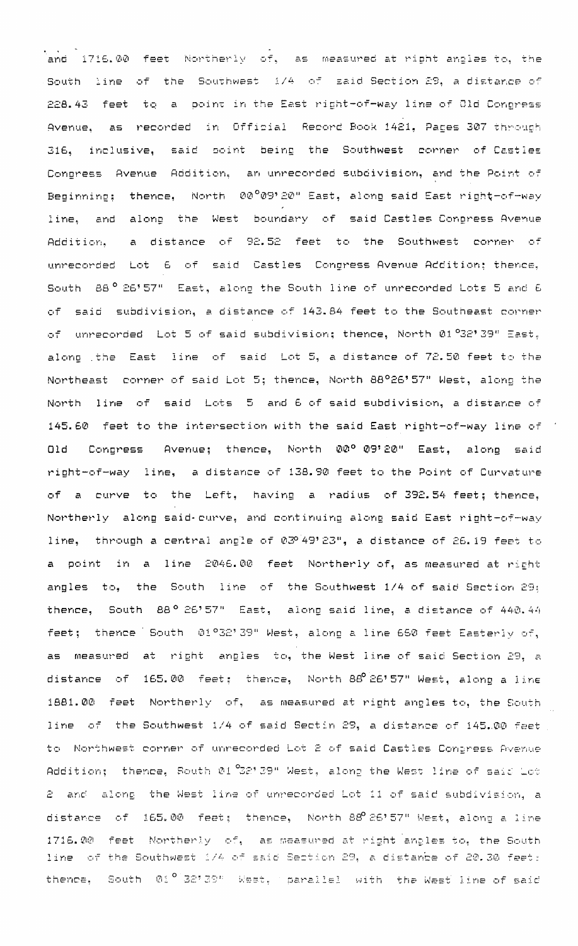and  $1716.00$  feet Northerly of, as measured at right-angles-to, the  $\overline{a}$ South line of the Southwest 1/4 of said-Section 29, a distance of 228.43 feet to a point in the East right-of-way line of Old Congress Avenue, as recorded in Official Record Book 1421, Pages 307 through 316. inclusive, said boint being the Southwest corner of Castles Congress Avenue Addition, an unrecorded subdivision, and the Point of Beginning: thence, North 00°09'20" East, along said East right-of-way line, and along the West boundary of said-Castles-Congress-Avenue a distance of 92.52 feet to the Southwest corner of Addition. unrecorded Lot 6 of said Castles Congress Avenue Addition; thence, South 88° 26' 57" East, along the South line of unrecorded Lots 5 and 6 of said subdivision, a distance of 143.84 feet to the Southeast commen of unrecorded Lot 5 of said subdivision; thence, North 01 22' 39" East. along the East line of said Lot 5, a distance of 72.50 feet to the Northeast corner of said Lot 5; thence, North 88°26'57" West, along the North line of said Lots 5 and 6 of said subdivision, a distance of 145.60 feet to the intersection with the said East right-of-way line of Avenue; thence, North 00° 09'20" East, along said  $01d$ Congress right-of-way line, a distance of 138.90 feet to the Point of Curvature a curve to the Left, having a radius of 392.54 feet; thence, of Northerly along said-curve, and continuing along said East right-of-way line, through a central angle of 03°49'23", a distance of 26.19 feet to a point in a line 2046.00 feet Northerly of, as measured at right angles to, the South line of the Southwest 1/4 of said Section 29; thence, South 88° 26'57" East, along said line, a distance of 440.44 feet; thence South 01°32'39" West, along a line 660 feet Easterly of, as measured at right angles to, the West line of said Section 29, a distance of 165.00 feet; thence, North 88 26'57" West, along a line 1881.00 feet Northerly of, as measured at right angles to, the South line of the Southwest 1/4 of said Sectin 29, a distance of 145.00 feet to Northwest corner of unrecorded Lot 2 of said Castles Congress Avenue Addition: thence, South 01  $32^\circ$  39" West, along the West line of said Lot 2 and along the West line of unrecorded Lot 11 of said subdivision, a distance of 165.00 feet; thence, North 88 26'57" West, along a line 1716.00 feet Mortherly of, as measured at right angles to, the South line of the Southwest 1/4 of said Section 29, a distance of 20.30 feet: thence, South 01° 32'39" West, parallel with the West line of said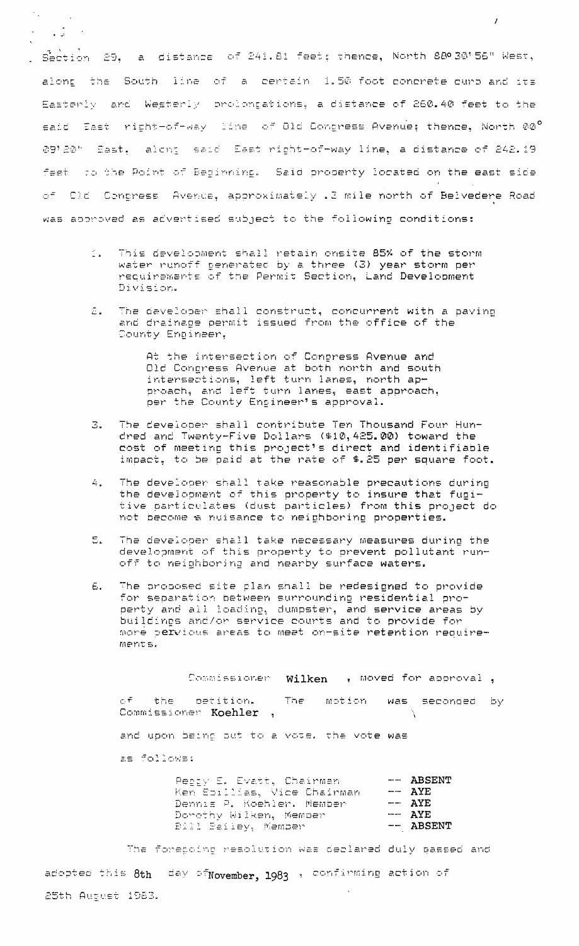Section 29, a distance of 241.81 feet; thence, North 880 30'56" West, along the South line of a certain 1.50 foot concrete curb and its Easterly and Westerly prolongations, a distance of 260.40 feet to the said East right-of-way line of Old Congress Avenue; thence, North 00° 09'20" Sast. alont said East right-of-way line, a distance of 242.19 feet to the Point of Beginning. Said property located on the east side of Cld Congress Avenua, approximately . 3 mile north of Belvedere Road was approved as advertised subject to the following conditions:

 $\mathcal{L}$ 

 $\gamma_{\rm in}$ 

 $\mathcal{A}^{\pm}$ 

 $\ddot{\phantom{a}}$ 

 $\frac{1}{2}$ 

- This development shall retain onsite 85% of the storm<br>water runoff generated by a three (3) year storm per<br>requirements of the Permit Section, Land Development  $\mathbb{Z}^{\mathbb{Z}^{\times}}$ Division.
- The developer shall construct, concurrent with a paving Ē. and drainage permit issued from the office of the County Engineer,

At the intersection of Congress Avenue and Old Congress Avenue at both north and south intersections, left turn lanes, north approach, and left turn lanes, east approach, per the County Engineer's approval.

- $\mathbb{B}$ . The developer shall contribute Ten Thousand Four Hundred and Twenty-Five Dollars (\$10,425.00) toward the cost of meeting this project's direct and identifiable<br>impact, to be paid at the rate of \$.25 per square foot.
- The developer shall take reasonable precautions during  $\Delta_{\rm{L}}$ the development of this property to insure that fugitive particulates (dust particles) from this project do not become a nuisance to neighboring properties.
- $\epsilon$ . The developer shall take necessary measures during the development of this property to prevent pollutant runoff to neighboring and nearby surface waters.
- The proposed site plan shall be redesigned to provide E. for separation between surrounding residential property and all loading, dumpster, and service areas by buildines and/or service courts and to provide for more pervious areas to meet on-site retention requirements.

Commissioner Wilken , moved for approval, The motion  $r.f.$ the petition. was seconded by Commissioner Koehler , and upon being put to a vote. the vote was as follows:

|  |                        | Pecty E. Evatt. Chairman    | $--$ ABSENT |
|--|------------------------|-----------------------------|-------------|
|  |                        | Ken Soillias, Vice Chairman | $---$ AYE   |
|  |                        | Dennie P. Koehler, Member   | $- AYE$     |
|  | Dorothy Wilken, Member |                             | $-- AYE$    |
|  | Bill Bailey, Member    |                             | $--$ ABSENT |
|  |                        |                             |             |

The foregoing resolution was declared duly gassed and adopted this 8th day of November, 1983 , confirming action of 25th August 1983.